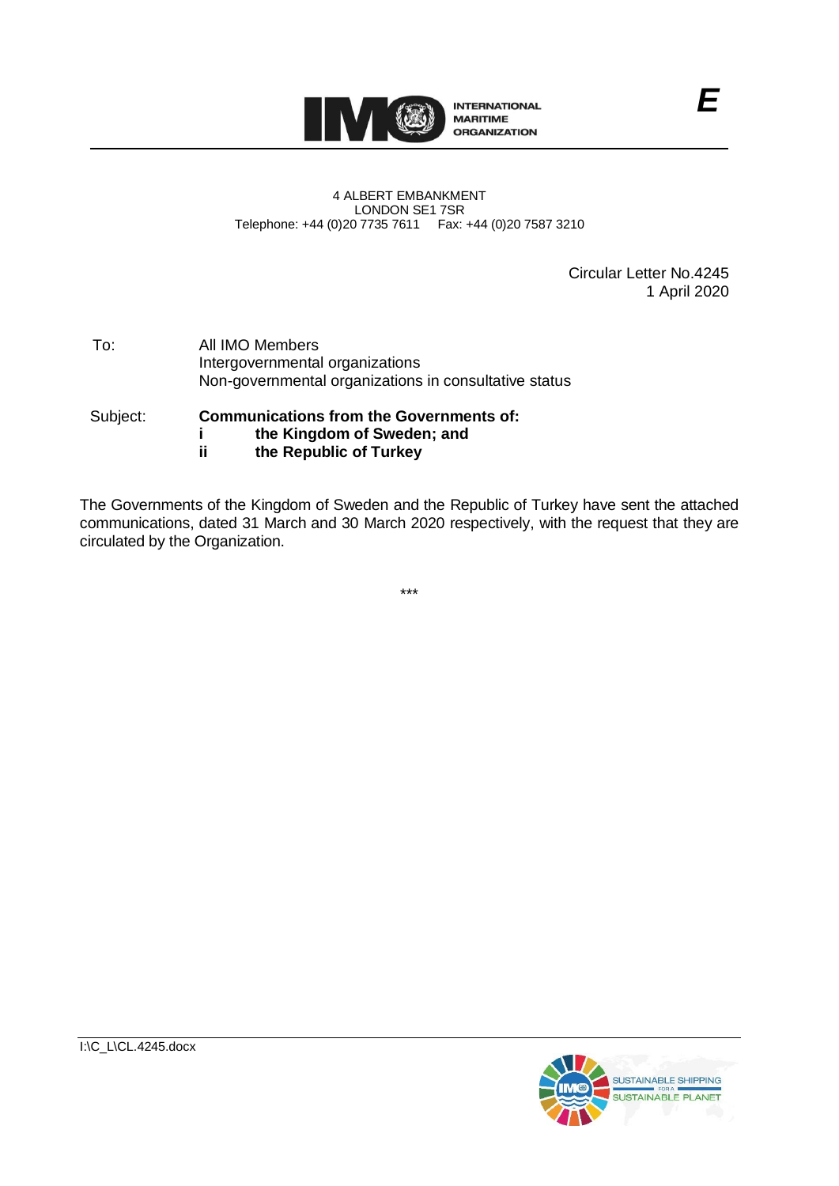

#### 4 ALBERT EMBANKMENT LONDON SE1 7SR Telephone: +44 (0)20 7735 7611 Fax: +44 (0)20 7587 3210

Circular Letter No.4245 1 April 2020

| To: | All IMO Members                                       |
|-----|-------------------------------------------------------|
|     | Intergovernmental organizations                       |
|     | Non-governmental organizations in consultative status |
|     |                                                       |

#### Subject: **Communications from the Governments of: i the Kingdom of Sweden; and ii the Republic of Turkey**

The Governments of the Kingdom of Sweden and the Republic of Turkey have sent the attached communications, dated 31 March and 30 March 2020 respectively, with the request that they are circulated by the Organization.

\*\*\*

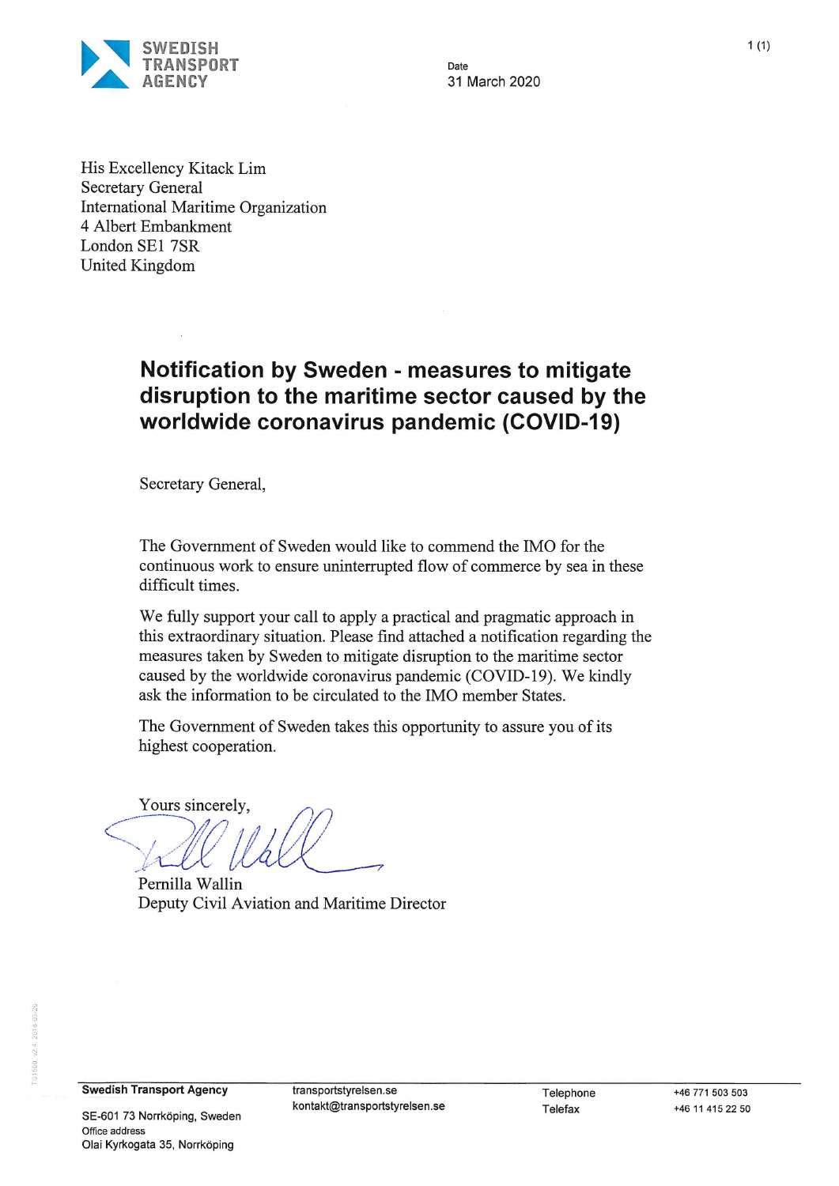

Date 31 March 2020

His Excellency Kitack Lim **Secretary General International Maritime Organization** 4 Albert Embankment London SE1 7SR United Kingdom

## **Notification by Sweden - measures to mitigate** disruption to the maritime sector caused by the worldwide coronavirus pandemic (COVID-19)

Secretary General,

The Government of Sweden would like to commend the IMO for the continuous work to ensure uninterrupted flow of commerce by sea in these difficult times.

We fully support your call to apply a practical and pragmatic approach in this extraordinary situation. Please find attached a notification regarding the measures taken by Sweden to mitigate disruption to the maritime sector caused by the worldwide coronavirus pandemic (COVID-19). We kindly ask the information to be circulated to the IMO member States.

The Government of Sweden takes this opportunity to assure you of its highest cooperation.

Yours sincerely.

Pernilla Wallin Deputy Civil Aviation and Maritime Director

**Swedish Transport Agency** 

SE-601 73 Norrköping, Sweden Office address Olai Kyrkogata 35, Norrköping

transportstyrelsen.se kontakt@transportstyrelsen.se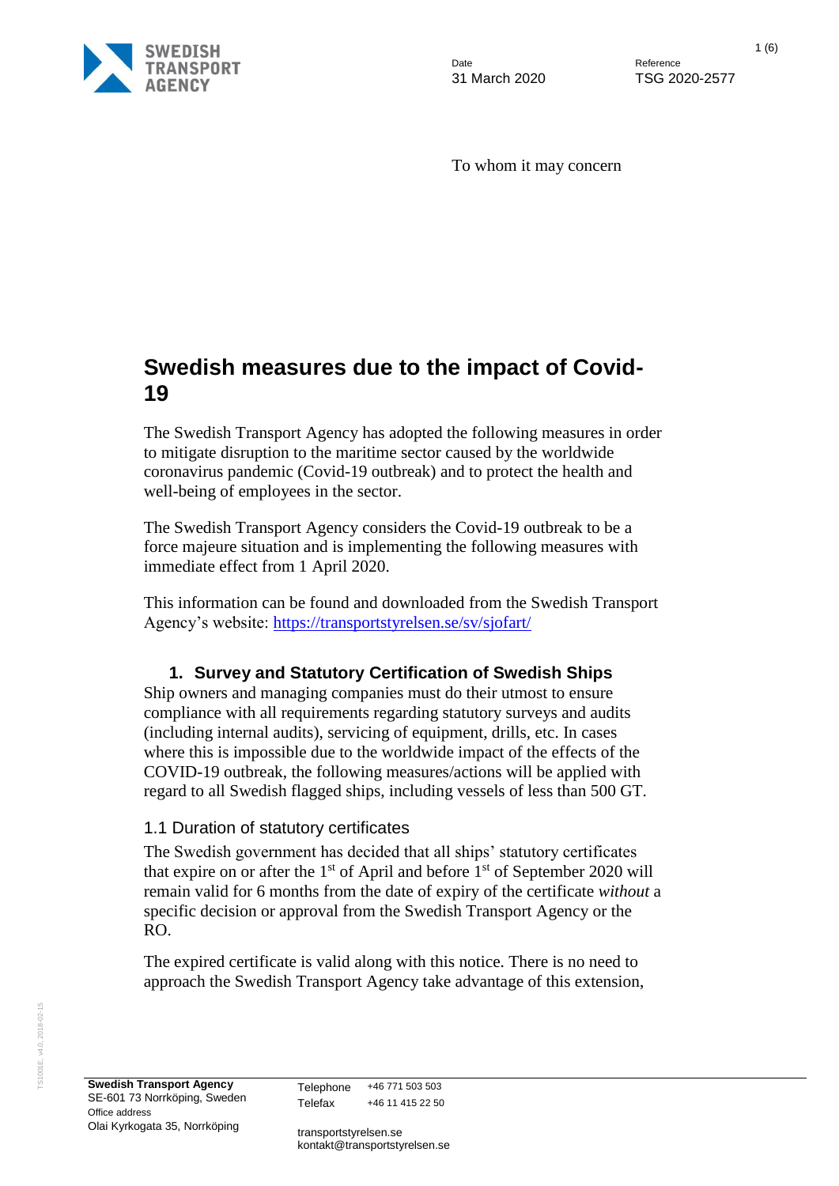

Date **Date** Reference

31 March 2020 TSG 2020-2577

To whom it may concern

## **Swedish measures due to the impact of Covid-19**

The Swedish Transport Agency has adopted the following measures in order to mitigate disruption to the maritime sector caused by the worldwide coronavirus pandemic (Covid-19 outbreak) and to protect the health and well-being of employees in the sector.

The Swedish Transport Agency considers the Covid-19 outbreak to be a force majeure situation and is implementing the following measures with immediate effect from 1 April 2020.

This information can be found and downloaded from the Swedish Transport Agency's website: <https://transportstyrelsen.se/sv/sjofart/>

### **1. Survey and Statutory Certification of Swedish Ships**

Ship owners and managing companies must do their utmost to ensure compliance with all requirements regarding statutory surveys and audits (including internal audits), servicing of equipment, drills, etc. In cases where this is impossible due to the worldwide impact of the effects of the COVID-19 outbreak, the following measures/actions will be applied with regard to all Swedish flagged ships, including vessels of less than 500 GT.

#### 1.1 Duration of statutory certificates

The Swedish government has decided that all ships' statutory certificates that expire on or after the  $1<sup>st</sup>$  of April and before  $1<sup>st</sup>$  of September 2020 will remain valid for 6 months from the date of expiry of the certificate *without* a specific decision or approval from the Swedish Transport Agency or the RO.

The expired certificate is valid along with this notice. There is no need to approach the Swedish Transport Agency take advantage of this extension,

Telephone +46 771 503 503 Telefax +46 11 415 22 50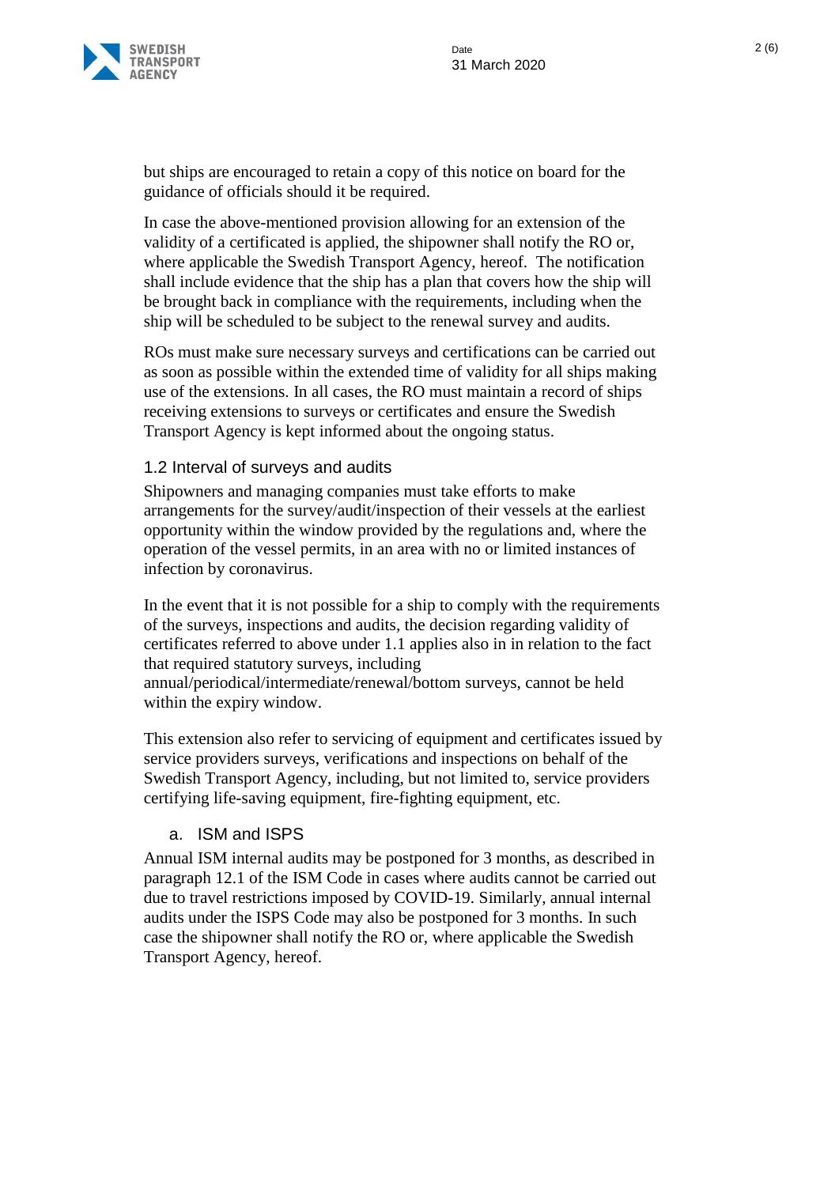

but ships are encouraged to retain a copy of this notice on board for the guidance of officials should it be required.

In case the above-mentioned provision allowing for an extension of the validity of a certificated is applied, the shipowner shall notify the RO or, where applicable the Swedish Transport Agency, hereof. The notification shall include evidence that the ship has a plan that covers how the ship will be brought back in compliance with the requirements, including when the ship will be scheduled to be subject to the renewal survey and audits.

ROs must make sure necessary surveys and certifications can be carried out as soon as possible within the extended time of validity for all ships making use of the extensions. In all cases, the RO must maintain a record of ships receiving extensions to surveys or certificates and ensure the Swedish Transport Agency is kept informed about the ongoing status.

#### 1.2 Interval of surveys and audits

Shipowners and managing companies must take efforts to make arrangements for the survey/audit/inspection of their vessels at the earliest opportunity within the window provided by the regulations and, where the operation of the vessel permits, in an area with no or limited instances of infection by coronavirus.

In the event that it is not possible for a ship to comply with the requirements of the surveys, inspections and audits, the decision regarding validity of certificates referred to above under 1.1 applies also in in relation to the fact that required statutory surveys, including

annual/periodical/intermediate/renewal/bottom surveys, cannot be held within the expiry window.

This extension also refer to servicing of equipment and certificates issued by service providers surveys, verifications and inspections on behalf of the Swedish Transport Agency, including, but not limited to, service providers certifying life-saving equipment, fire-fighting equipment, etc.

#### a. ISM and ISPS

Annual ISM internal audits may be postponed for 3 months, as described in paragraph 12.1 of the ISM Code in cases where audits cannot be carried out due to travel restrictions imposed by COVID-19. Similarly, annual internal audits under the ISPS Code may also be postponed for 3 months. In such case the shipowner shall notify the RO or, where applicable the Swedish Transport Agency, hereof.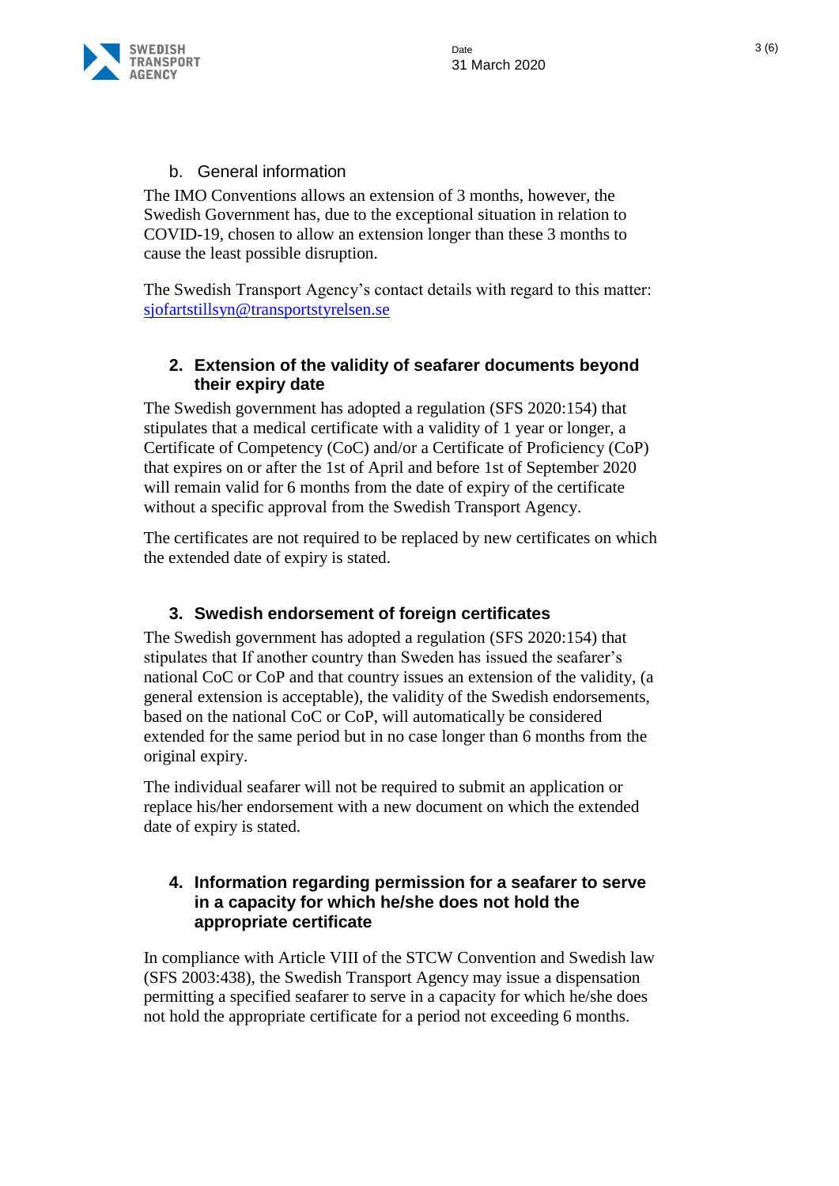

#### b. General information

The IMO Conventions allows an extension of 3 months, however, the Swedish Government has, due to the exceptional situation in relation to COVID-19, chosen to allow an extension longer than these 3 months to cause the least possible disruption.

The Swedish Transport Agency's contact details with regard to this matter: [sjofartstillsyn@transportstyrelsen.se](mailto:sjofartstillsyn@transportstyrelsen.se)

### **2. Extension of the validity of seafarer documents beyond their expiry date**

The Swedish government has adopted a regulation (SFS 2020:154) that stipulates that a medical certificate with a validity of 1 year or longer, a Certificate of Competency (CoC) and/or a Certificate of Proficiency (CoP) that expires on or after the 1st of April and before 1st of September 2020 will remain valid for 6 months from the date of expiry of the certificate without a specific approval from the Swedish Transport Agency.

The certificates are not required to be replaced by new certificates on which the extended date of expiry is stated.

### **3. Swedish endorsement of foreign certificates**

The Swedish government has adopted a regulation (SFS 2020:154) that stipulates that If another country than Sweden has issued the seafarer's national CoC or CoP and that country issues an extension of the validity, (a general extension is acceptable), the validity of the Swedish endorsements, based on the national CoC or CoP, will automatically be considered extended for the same period but in no case longer than 6 months from the original expiry.

The individual seafarer will not be required to submit an application or replace his/her endorsement with a new document on which the extended date of expiry is stated.

#### **4. Information regarding permission for a seafarer to serve in a capacity for which he/she does not hold the appropriate certificate**

In compliance with Article VIII of the STCW Convention and Swedish law (SFS 2003:438), the Swedish Transport Agency may issue a dispensation permitting a specified seafarer to serve in a capacity for which he/she does not hold the appropriate certificate for a period not exceeding 6 months.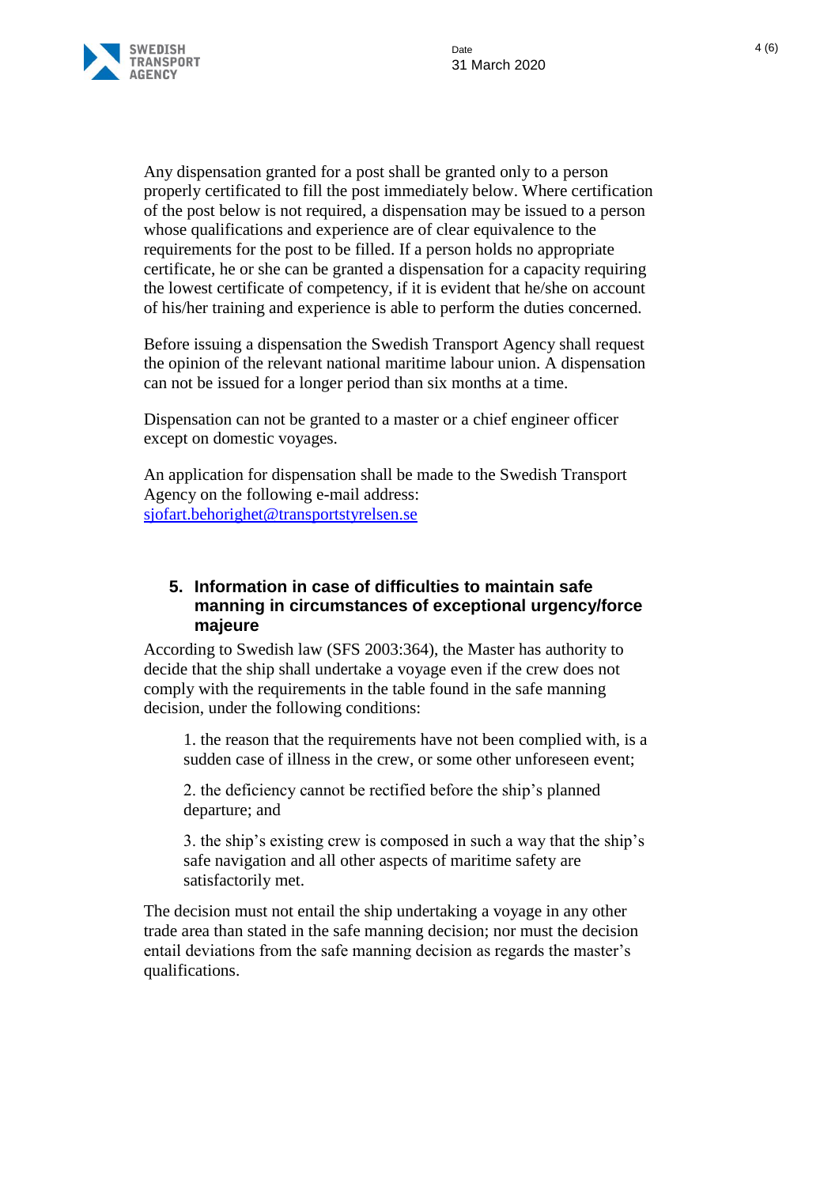

Any dispensation granted for a post shall be granted only to a person properly certificated to fill the post immediately below. Where certification of the post below is not required, a dispensation may be issued to a person whose qualifications and experience are of clear equivalence to the requirements for the post to be filled. If a person holds no appropriate certificate, he or she can be granted a dispensation for a capacity requiring the lowest certificate of competency, if it is evident that he/she on account of his/her training and experience is able to perform the duties concerned.

Before issuing a dispensation the Swedish Transport Agency shall request the opinion of the relevant national maritime labour union. A dispensation can not be issued for a longer period than six months at a time.

Dispensation can not be granted to a master or a chief engineer officer except on domestic voyages.

An application for dispensation shall be made to the Swedish Transport Agency on the following e-mail address: [sjofart.behorighet@transportstyrelsen.se](mailto:sjofart.behorighet@transportstyrelsen.se)

#### **5. Information in case of difficulties to maintain safe manning in circumstances of exceptional urgency/force majeure**

According to Swedish law (SFS 2003:364), the Master has authority to decide that the ship shall undertake a voyage even if the crew does not comply with the requirements in the table found in the safe manning decision, under the following conditions:

1. the reason that the requirements have not been complied with, is a sudden case of illness in the crew, or some other unforeseen event;

2. the deficiency cannot be rectified before the ship's planned departure; and

3. the ship's existing crew is composed in such a way that the ship's safe navigation and all other aspects of maritime safety are satisfactorily met.

The decision must not entail the ship undertaking a voyage in any other trade area than stated in the safe manning decision; nor must the decision entail deviations from the safe manning decision as regards the master's qualifications.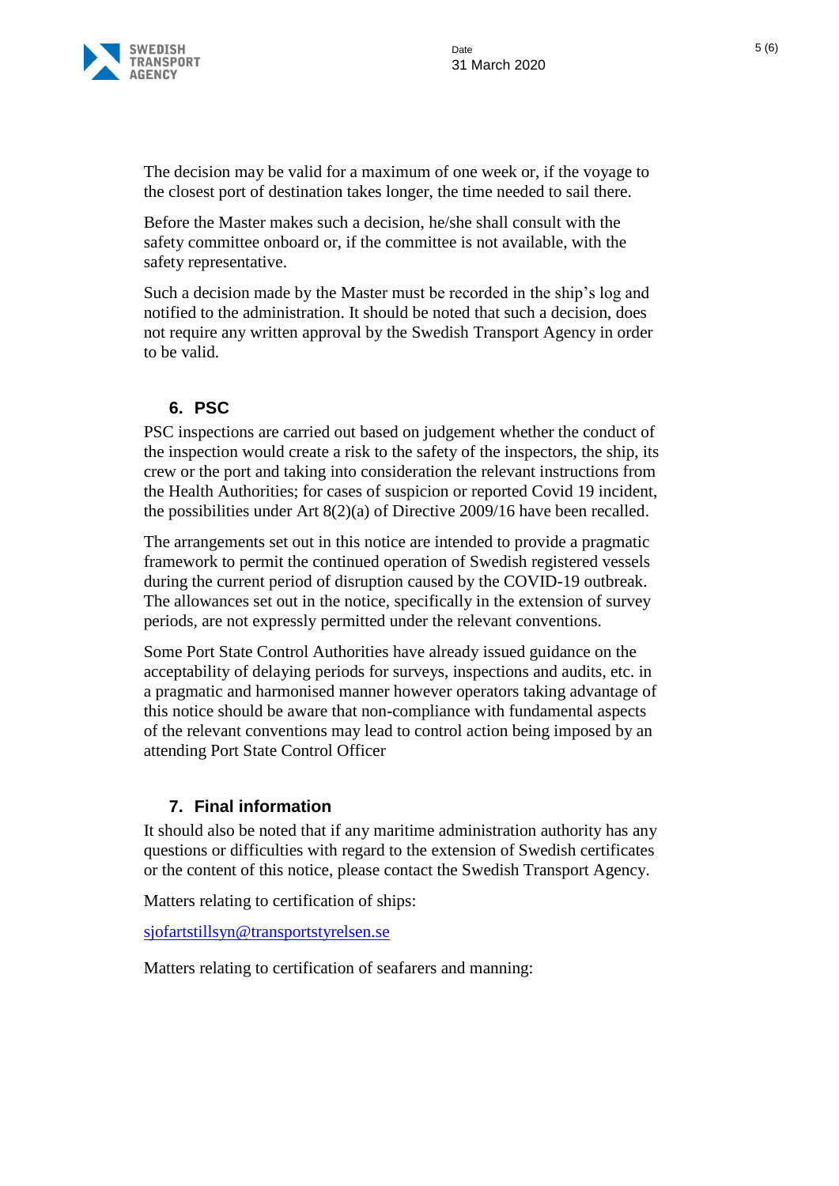

The decision may be valid for a maximum of one week or, if the voyage to the closest port of destination takes longer, the time needed to sail there.

Before the Master makes such a decision, he/she shall consult with the safety committee onboard or, if the committee is not available, with the safety representative.

Such a decision made by the Master must be recorded in the ship's log and notified to the administration. It should be noted that such a decision, does not require any written approval by the Swedish Transport Agency in order to be valid.

#### **6. PSC**

PSC inspections are carried out based on judgement whether the conduct of the inspection would create a risk to the safety of the inspectors, the ship, its crew or the port and taking into consideration the relevant instructions from the Health Authorities; for cases of suspicion or reported Covid 19 incident, the possibilities under Art 8(2)(a) of Directive 2009/16 have been recalled.

The arrangements set out in this notice are intended to provide a pragmatic framework to permit the continued operation of Swedish registered vessels during the current period of disruption caused by the COVID-19 outbreak. The allowances set out in the notice, specifically in the extension of survey periods, are not expressly permitted under the relevant conventions.

Some Port State Control Authorities have already issued guidance on the acceptability of delaying periods for surveys, inspections and audits, etc. in a pragmatic and harmonised manner however operators taking advantage of this notice should be aware that non-compliance with fundamental aspects of the relevant conventions may lead to control action being imposed by an attending Port State Control Officer

#### **7. Final information**

It should also be noted that if any maritime administration authority has any questions or difficulties with regard to the extension of Swedish certificates or the content of this notice, please contact the Swedish Transport Agency.

Matters relating to certification of ships:

[sjofartstillsyn@transportstyrelsen.se](mailto:sjofartstillsyn@transportstyrelsen.se)

Matters relating to certification of seafarers and manning: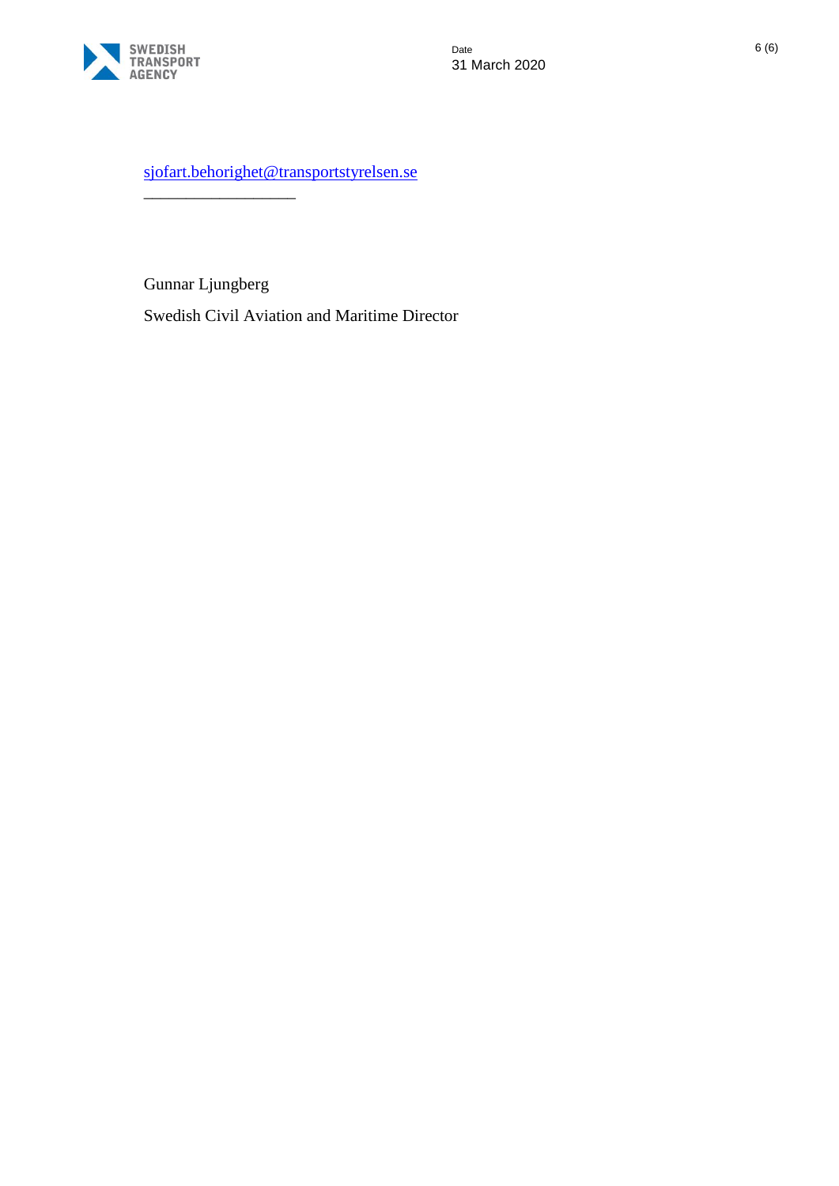

[sjofart.behorighet@transportstyrelsen.se](mailto:sjofart.behorighet@transportstyrelsen.se)

Gunnar Ljungberg

\_\_\_\_\_\_\_\_\_\_\_\_\_\_\_\_\_\_

Swedish Civil Aviation and Maritime Director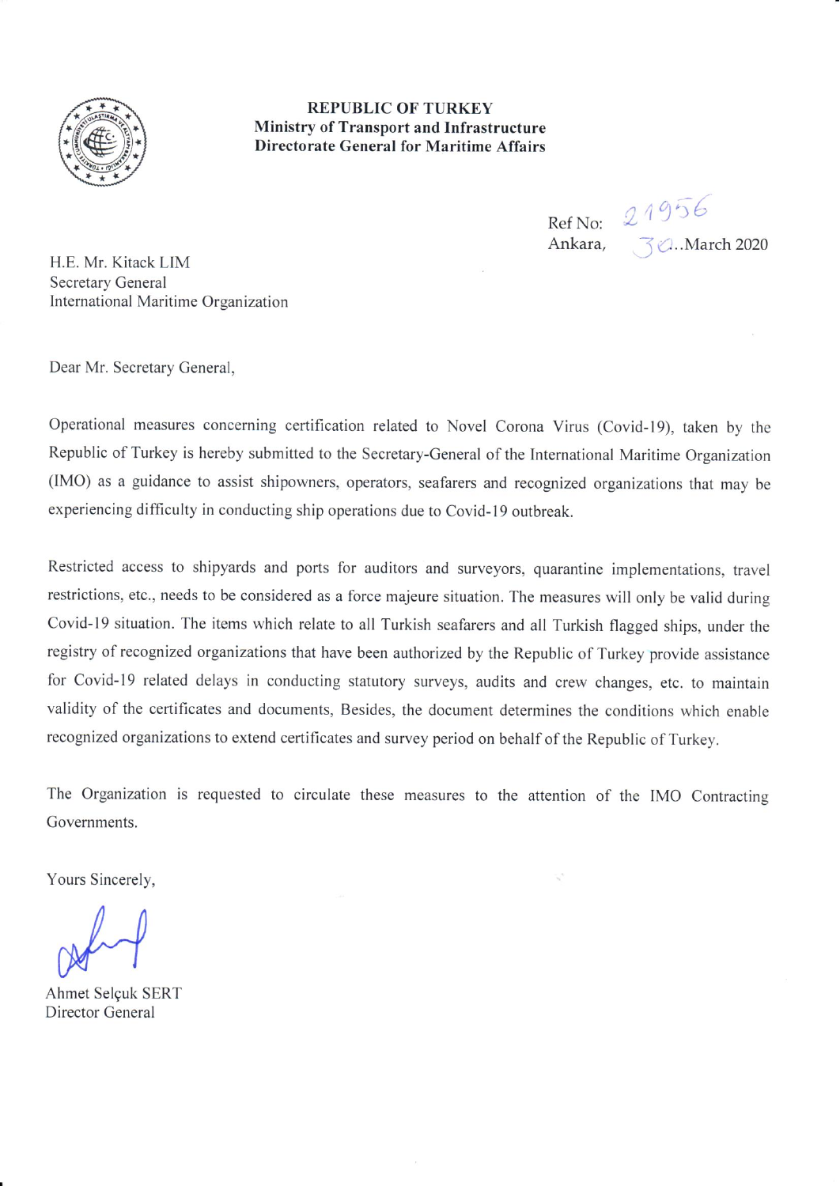

**REPUBLIC OF TURKEY Ministry of Transport and Infrastructure Directorate General for Maritime Affairs** 

> Ref No:  $21956$ Ankara,

**30. March 2020** 

H.E. Mr. Kitack LIM **Secretary General** International Maritime Organization

Dear Mr. Secretary General,

Operational measures concerning certification related to Novel Corona Virus (Covid-19), taken by the Republic of Turkey is hereby submitted to the Secretary-General of the International Maritime Organization (IMO) as a guidance to assist shipowners, operators, seafarers and recognized organizations that may be experiencing difficulty in conducting ship operations due to Covid-19 outbreak.

Restricted access to shipyards and ports for auditors and surveyors, quarantine implementations, travel restrictions, etc., needs to be considered as a force majeure situation. The measures will only be valid during Covid-19 situation. The items which relate to all Turkish seafarers and all Turkish flagged ships, under the registry of recognized organizations that have been authorized by the Republic of Turkey provide assistance for Covid-19 related delays in conducting statutory surveys, audits and crew changes, etc. to maintain validity of the certificates and documents, Besides, the document determines the conditions which enable recognized organizations to extend certificates and survey period on behalf of the Republic of Turkey.

The Organization is requested to circulate these measures to the attention of the IMO Contracting Governments.

Yours Sincerely,

Ahmet Selçuk SERT Director General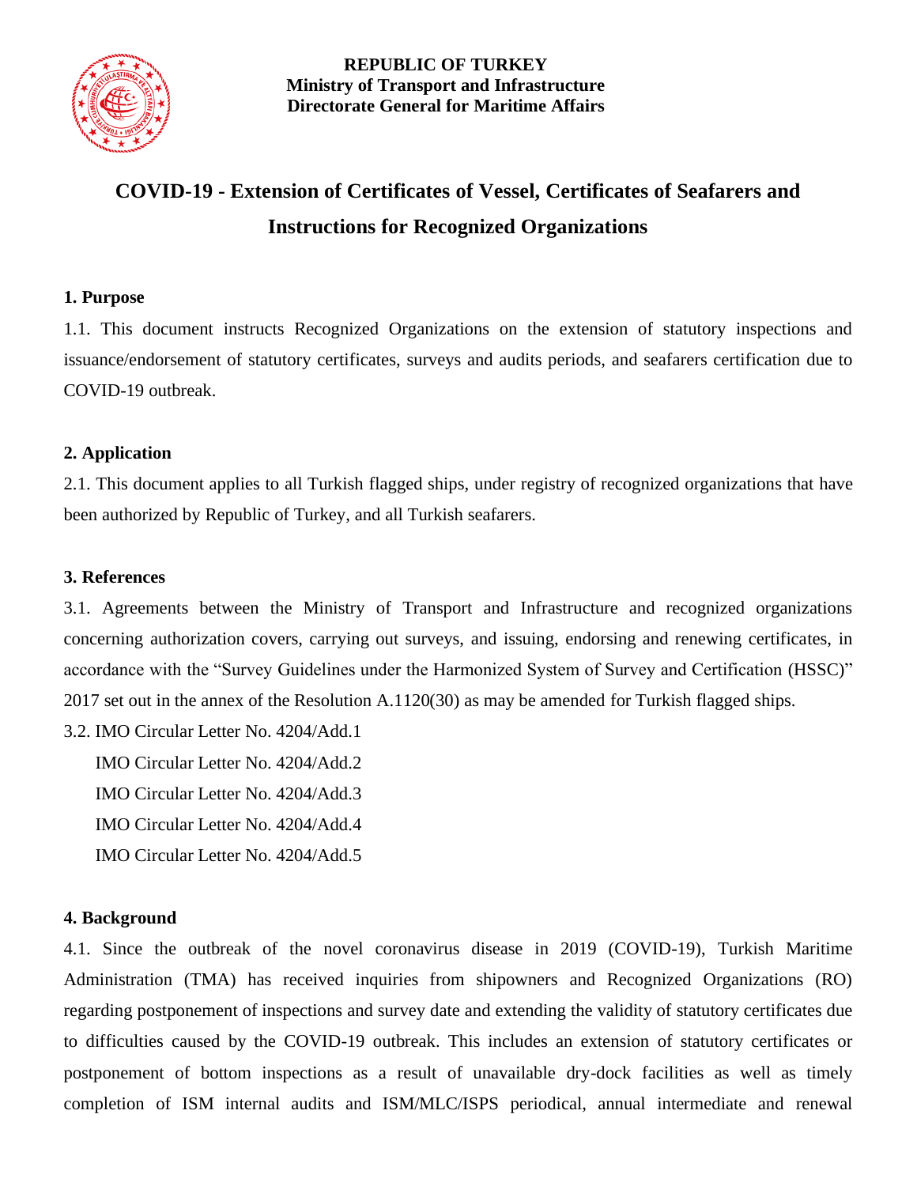

#### **REPUBLIC OF TURKEY Ministry of Transport and Infrastructure Directorate General for Maritime Affairs**

# **COVID-19 - Extension of Certificates of Vessel, Certificates of Seafarers and Instructions for Recognized Organizations**

#### **1. Purpose**

1.1. This document instructs Recognized Organizations on the extension of statutory inspections and issuance/endorsement of statutory certificates, surveys and audits periods, and seafarers certification due to COVID-19 outbreak.

#### **2. Application**

2.1. This document applies to all Turkish flagged ships, under registry of recognized organizations that have been authorized by Republic of Turkey, and all Turkish seafarers.

#### **3. References**

3.1. Agreements between the Ministry of Transport and Infrastructure and recognized organizations concerning authorization covers, carrying out surveys, and issuing, endorsing and renewing certificates, in accordance with the "Survey Guidelines under the Harmonized System of Survey and Certification (HSSC)" 2017 set out in the annex of the Resolution A.1120(30) as may be amended for Turkish flagged ships.

3.2. IMO Circular Letter No. 4204/Add.1

 IMO Circular Letter No. 4204/Add.2 IMO Circular Letter No. 4204/Add.3 IMO Circular Letter No. 4204/Add.4

IMO Circular Letter No. 4204/Add.5

#### **4. Background**

4.1. Since the outbreak of the novel coronavirus disease in 2019 (COVID-19), Turkish Maritime Administration (TMA) has received inquiries from shipowners and Recognized Organizations (RO) regarding postponement of inspections and survey date and extending the validity of statutory certificates due to difficulties caused by the COVID-19 outbreak. This includes an extension of statutory certificates or postponement of bottom inspections as a result of unavailable dry-dock facilities as well as timely completion of ISM internal audits and ISM/MLC/ISPS periodical, annual intermediate and renewal